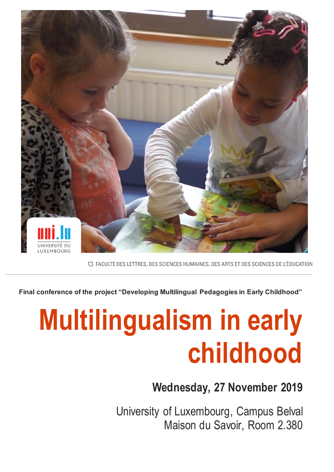

□ FACULTÉ DES LETTRES, DES SCIENCES HUMAINES, DES ARTS ET DES SCIENCES DE L'ÉDUCATION

**Final conference of the project "Developing Multilingual Pedagogies in Early Childhood"**

# **Multilingualism in early childhood**

## **Wednesday 27th Wednesday, 27 November 2019**

University of Luxembourg, Campus Belval Maison du Savoir, Room 2.380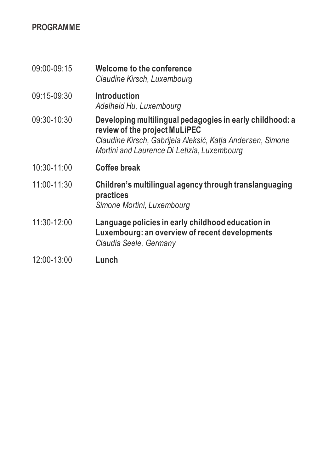#### **PROGRAMME**

| 09:00-09:15     | Welcome to the conference<br>Claudine Kirsch, Luxembourg                                                                                                                                               |
|-----------------|--------------------------------------------------------------------------------------------------------------------------------------------------------------------------------------------------------|
| 09:15-09:30     | <b>Introduction</b><br>Adelheid Hu, Luxembourg                                                                                                                                                         |
| 09:30-10:30     | Developing multilingual pedagogies in early childhood: a<br>review of the project MuLiPEC<br>Claudine Kirsch, Gabrijela Aleksić, Katja Andersen, Simone<br>Mortini and Laurence Di Letizia, Luxembourg |
| $10:30 - 11:00$ | <b>Coffee break</b>                                                                                                                                                                                    |
| 11:00-11:30     | Children's multilingual agency through translanguaging<br>practices<br>Simone Mortini, Luxembourg                                                                                                      |
| 11:30-12:00     | Language policies in early childhood education in<br>Luxembourg: an overview of recent developments<br>Claudia Seele, Germany                                                                          |
| 12:00-13:00     | Lunch                                                                                                                                                                                                  |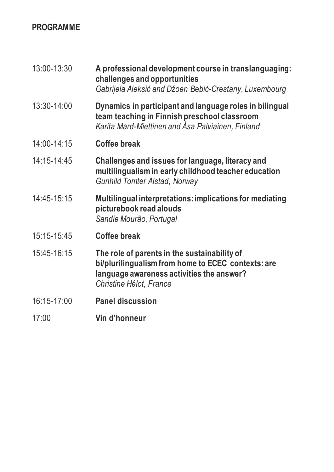#### **PROGRAMME**

| 13:00-13:30     | A professional development course in translanguaging:<br>challenges and opportunities<br>Gabrijela Aleksić and Džoen Bebić-Crestany, Luxembourg                            |
|-----------------|----------------------------------------------------------------------------------------------------------------------------------------------------------------------------|
| 13:30-14:00     | Dynamics in participant and language roles in bilingual<br>team teaching in Finnish preschool classroom<br>Karita Mård-Miettinen and Åsa Palviainen, Finland               |
| 14:00-14:15     | <b>Coffee break</b>                                                                                                                                                        |
| $14:15 - 14:45$ | Challenges and issues for language, literacy and<br>multilingualism in early childhood teacher education<br><b>Gunhild Tomter Alstad, Norway</b>                           |
| 14:45-15:15     | Multilingual interpretations: implications for mediating<br>picturebook read alouds<br>Sandie Mourão, Portugal                                                             |
| 15:15-15:45     | <b>Coffee break</b>                                                                                                                                                        |
| 15:45-16:15     | The role of parents in the sustainability of<br>bi/plurilingualism from home to ECEC contexts: are<br>language awareness activities the answer?<br>Christine Hélot, France |
| 16:15-17:00     | <b>Panel discussion</b>                                                                                                                                                    |
| 17:00           | Vin d'honneur                                                                                                                                                              |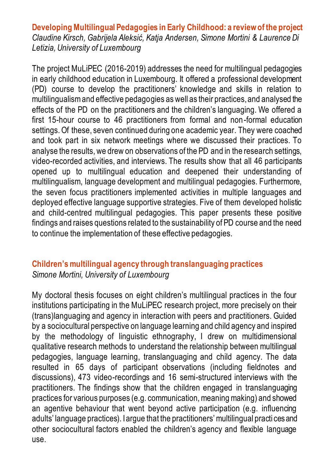**Developing Multilingual Pedagogies in Early Childhood: a review of the project** *Claudine Kirsch, Gabrijela Aleksić, Katja Andersen, Simone Mortini & Laurence Di Letizia, University of Luxembourg*

The project MuLiPEC (2016-2019) addresses the need for multilingual pedagogies in early childhood education in Luxembourg. It offered a professional development (PD) course to develop the practitioners' knowledge and skills in relation to multilingualism and effective pedagogies as well as their practices, and analysed the effects of the PD on the practitioners and the children's languaging. We offered a first 15-hour course to 46 practitioners from formal and non-formal education settings. Of these, seven continued during one academic year. They were coached and took part in six network meetings where we discussed their practices. To analyse the results, we drew on observations of the PD and in the research settings, video-recorded activities, and interviews. The results show that all 46 participants opened up to multilingual education and deepened their understanding of multilingualism, language development and multilingual pedagogies. Furthermore, the seven focus practitioners implemented activities in multiple languages and deployed effective language supportive strategies. Five of them developed holistic and child-centred multilingual pedagogies. This paper presents these positive findings and raises questions related to the sustainability of PD course and the need to continue the implementation of these effective pedagogies.

# **Children's multilingual agency through translanguaging practices**

*Simone Mortini, University of Luxembourg*

My doctoral thesis focuses on eight children's multilingual practices in the four institutions participating in the MuLiPEC research project, more precisely on their (trans)languaging and agency in interaction with peers and practitioners. Guided by a sociocultural perspective on language learning and child agency and inspired by the methodology of linguistic ethnography, I drew on multidimensional qualitative research methods to understand the relationship between multilingual pedagogies, language learning, translanguaging and child agency. The data resulted in 65 days of participant observations (including fieldnotes and discussions), 473 video-recordings and 16 semi-structured interviews with the practitioners. The findings show that the children engaged in translanguaging practices for various purposes (e.g. communication, meaning making) and showed an agentive behaviour that went beyond active participation (e.g. influencing adults' language practices). I argue that the practitioners' multilingual practi ces and other sociocultural factors enabled the children's agency and flexible language use.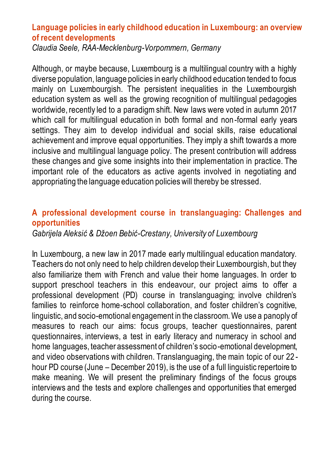#### **Language policies in early childhood education in Luxembourg: an overview of recent developments**

*Claudia Seele, RAA-Mecklenburg-Vorpommern, Germany*

Although, or maybe because, Luxembourg is a multilingual country with a highly diverse population, language policies in early childhood education tended to focus mainly on Luxembourgish. The persistent inequalities in the Luxembourgish education system as well as the growing recognition of multilingual pedagogies worldwide, recently led to a paradigm shift. New laws were voted in autumn 2017 which call for multilingual education in both formal and non-formal early years settings. They aim to develop individual and social skills, raise educational achievement and improve equal opportunities. They imply a shift towards a more inclusive and multilingual language policy. The present contribution will address these changes and give some insights into their implementation in practice. The important role of the educators as active agents involved in negotiating and appropriating the language education policies will thereby be stressed.

#### **A professional development course in translanguaging: Challenges and opportunities**

*Gabrijela Aleksić & Džoen Bebić-Crestany, University of Luxembourg*

In Luxembourg, a new law in 2017 made early multilingual education mandatory. Teachers do not only need to help children develop their Luxembourgish, but they also familiarize them with French and value their home languages. In order to support preschool teachers in this endeavour, our project aims to offer a professional development (PD) course in translanguaging; involve children's families to reinforce home-school collaboration, and foster children's cognitive, linguistic, and socio-emotional engagement in the classroom. We use a panoply of measures to reach our aims: focus groups, teacher questionnaires, parent questionnaires, interviews, a test in early literacy and numeracy in school and home languages, teacher assessment of children's socio-emotional development, and video observations with children. Translanguaging, the main topic of our 22 hour PD course (June – December 2019), is the use of a full linguistic repertoire to make meaning. We will present the preliminary findings of the focus groups interviews and the tests and explore challenges and opportunities that emerged during the course.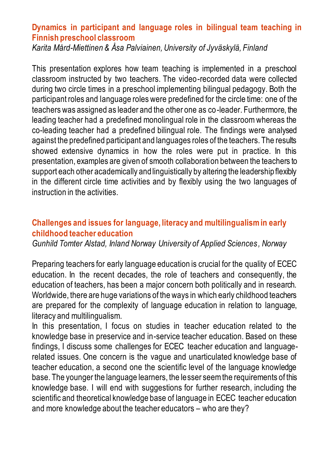#### **Dynamics in participant and language roles in bilingual team teaching in Finnish preschool classroom**

*Karita Mård-Miettinen & Åsa Palviainen, University of Jyväskylä, Finland*

This presentation explores how team teaching is implemented in a preschool classroom instructed by two teachers. The video-recorded data were collected during two circle times in a preschool implementing bilingual pedagogy. Both the participant roles and language roles were predefined for the circle time: one of the teachers was assigned as leader and the other one as co-leader. Furthermore, the leading teacher had a predefined monolingual role in the classroom whereas the co-leading teacher had a predefined bilingual role. The findings were analysed against the predefined participant and languages roles of the teachers. The results showed extensive dynamics in how the roles were put in practice. In this presentation, examples are given of smooth collaboration between the teachers to support each other academically and linguistically by altering the leadership flexibly in the different circle time activities and by flexibly using the two languages of instruction in the activities.

#### **Challenges and issues for language, literacy and multilingualism in early childhood teacher education**

*Gunhild Tomter Alstad, Inland Norway University of Applied Sciences , Norway*

Preparing teachers for early language education is crucial for the quality of ECEC education. In the recent decades, the role of teachers and consequently, the education of teachers, has been a major concern both politically and in research. Worldwide, there are huge variations of the ways in which early childhood teachers are prepared for the complexity of language education in relation to language, literacy and multilingualism.

In this presentation, I focus on studies in teacher education related to the knowledge base in preservice and in-service teacher education. Based on these findings, I discuss some challenges for ECEC teacher education and languagerelated issues. One concern is the vague and unarticulated knowledge base of teacher education, a second one the scientific level of the language knowledge base. The younger the language learners, the lesser seem the requirements of this knowledge base. I will end with suggestions for further research, including the scientific and theoretical knowledge base of language in ECEC teacher education and more knowledge about the teacher educators – who are they?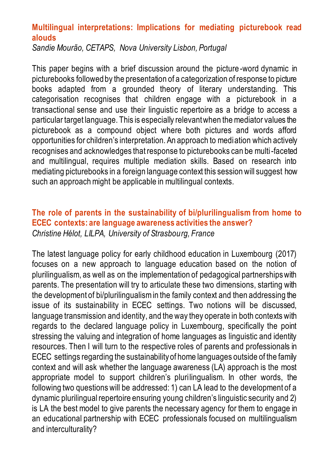#### **Multilingual interpretations: Implications for mediating picturebook read alouds**

*Sandie Mourão, CETAPS, Nova University Lisbon, Portugal*

This paper begins with a brief discussion around the picture -word dynamic in picturebooks followed by the presentation of a categorization of response to picture books adapted from a grounded theory of literary understanding. This categorisation recognises that children engage with a picturebook in a transactional sense and use their linguistic repertoire as a bridge to access a particular target language. This is especially relevant when the mediator values the picturebook as a compound object where both pictures and words afford opportunities for children's interpretation. An approach to mediation which actively recognises and acknowledges that response to picturebooks can be multi-faceted and multilingual, requires multiple mediation skills. Based on research into mediating picturebooks in a foreign language context this session will suggest how such an approach might be applicable in multilingual contexts.

#### **The role of parents in the sustainability of bi/plurilingualism from home to ECEC contexts: are language awareness activities the answer?**  *Christine Hélot, LILPA, University of Strasbourg, France*

The latest language policy for early childhood education in Luxembourg (2017) focuses on a new approach to language education based on the notion of plurilingualism, as well as on the implementation of pedagogical partnerships with parents. The presentation will try to articulate these two dimensions, starting with the development of bi/plurilingualism in the family context and then addressing the issue of its sustainability in ECEC settings. Two notions will be discussed, language transmission and identity, and the way they operate in both contexts with regards to the declared language policy in Luxembourg, specifically the point stressing the valuing and integration of home languages as linguistic and identity resources. Then I will turn to the respective roles of parents and professionals in ECEC settings regarding the sustainability of home languages outside of the family context and will ask whether the language awareness (LA) approach is the most appropriate model to support children's plurilingualism. In other words, the following two questions will be addressed: 1) can LA lead to the development of a dynamic plurilingual repertoire ensuring young children's linguistic security and 2) is LA the best model to give parents the necessary agency for them to engage in an educational partnership with ECEC professionals focused on multilingualism and interculturality?